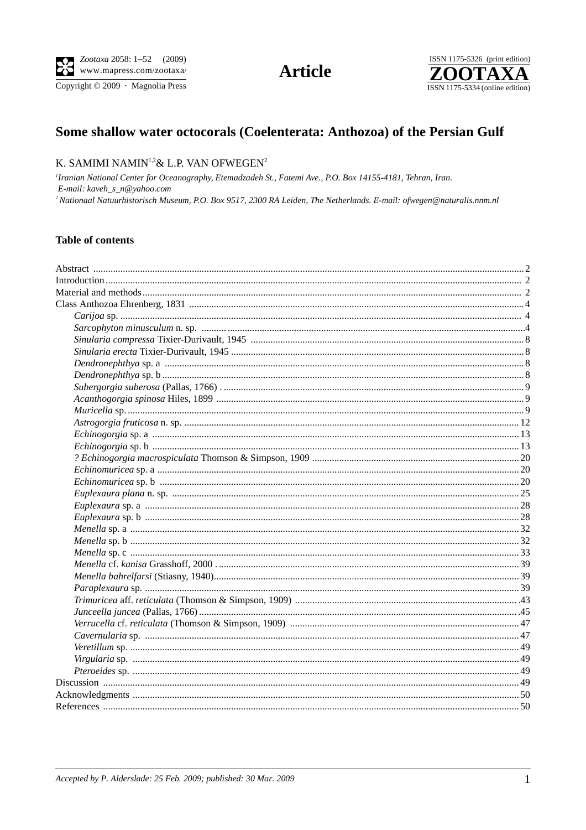Copyright © 2009 · Magnolia Press

**Article** 



# Some shallow water octocorals (Coelenterata: Anthozoa) of the Persian Gulf

# K. SAMIMI NAMIN<sup>1,2</sup> & L.P. VAN OFWEGEN<sup>2</sup>

<sup>1</sup>Iranian National Center for Oceanography, Etemadzadeh St., Fatemi Ave., P.O. Box 14155-4181, Tehran, Iran. E-mail: kaveh\_s\_n@yahoo.com <sup>2</sup> Nationaal Natuurhistorisch Museum, P.O. Box 9517, 2300 RA Leiden, The Netherlands. E-mail: ofwegen@naturalis.nnm.nl

#### **Table of contents**